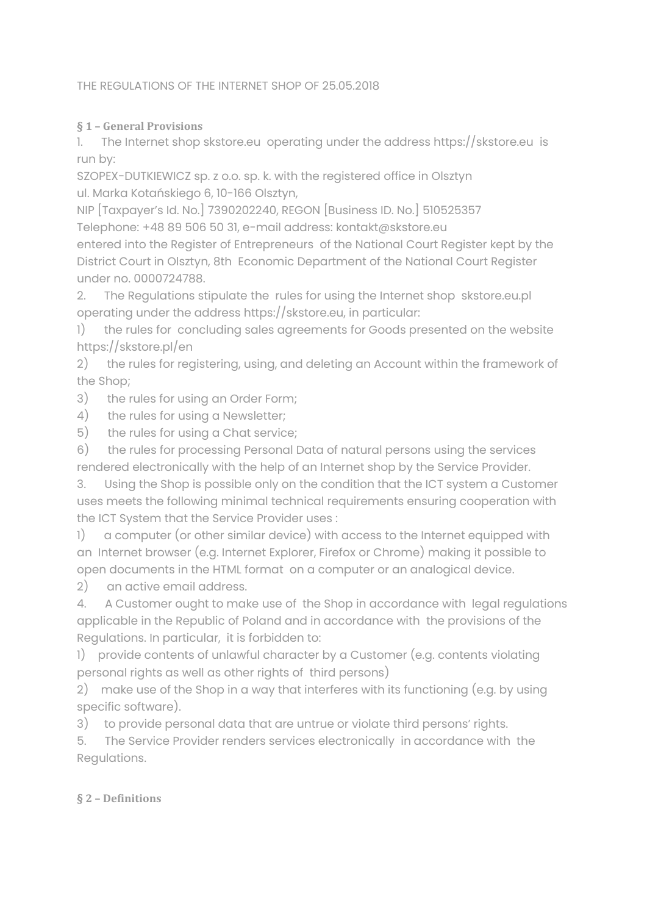### THE REGULATIONS OF THE INTERNET SHOP OF 25.05.2018

### **§ 1 – General Provisions**

1. The Internet shop skstore.eu operating under the address https://skstore.eu is run by:

SZOPEX-DUTKIEWICZ sp. z o.o. sp. k. with the registered office in Olsztyn ul. Marka Kotańskiego 6, 10-166 Olsztyn,

NIP [Taxpayer's Id. No.] 7390202240, REGON [Business ID. No.] 510525357 Telephone: +48 89 506 50 31, e-mail address: kontakt@skstore.eu

entered into the Register of Entrepreneurs of the National Court Register kept by the District Court in Olsztyn, 8th Economic Department of the National Court Register under no. 0000724788.

2. The Regulations stipulate the rules for using the Internet shop skstore.eu.pl operating under the address https://skstore.eu, in particular:

1) the rules for concluding sales agreements for Goods presented on the website https://skstore.pl/en

2) the rules for registering, using, and deleting an Account within the framework of the Shop;

3) the rules for using an Order Form;

- 4) the rules for using a Newsletter;
- 5) the rules for using a Chat service;

6) the rules for processing Personal Data of natural persons using the services rendered electronically with the help of an Internet shop by the Service Provider.

3. Using the Shop is possible only on the condition that the ICT system a Customer uses meets the following minimal technical requirements ensuring cooperation with the ICT System that the Service Provider uses :

1) a computer (or other similar device) with access to the Internet equipped with an Internet browser (e.g. Internet Explorer, Firefox or Chrome) making it possible to open documents in the HTML format on a computer or an analogical device.

2) an active email address.

4. A Customer ought to make use of the Shop in accordance with legal regulations applicable in the Republic of Poland and in accordance with the provisions of the Regulations. In particular, it is forbidden to:

1) provide contents of unlawful character by a Customer (e.g. contents violating personal rights as well as other rights of third persons)

2) make use of the Shop in a way that interferes with its functioning (e.g. by using specific software).

3) to provide personal data that are untrue or violate third persons' rights.

5. The Service Provider renders services electronically in accordance with the Regulations.

# **§ 2 – Definitions**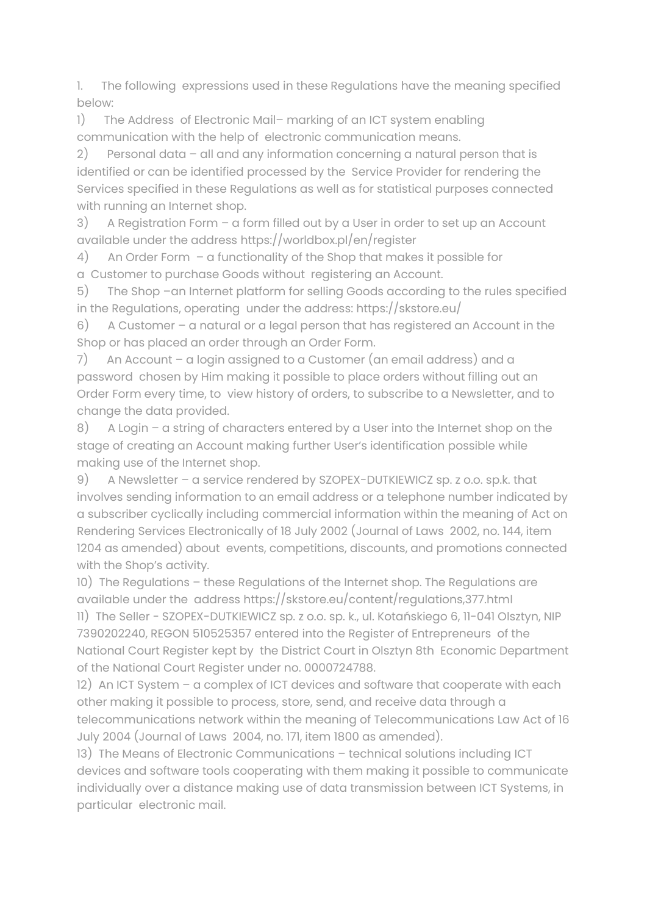1. The following expressions used in these Regulations have the meaning specified below:

1) The Address of Electronic Mail-marking of an ICT system enabling communication with the help of electronic communication means.

2) Personal data – all and any information concerning a natural person that is identified or can be identified processed by the Service Provider for rendering the Services specified in these Regulations as well as for statistical purposes connected with running an Internet shop.

3) A Registration Form – a form filled out by a User in order to set up an Account available under the address https://worldbox.pl/en/register

4) An Order Form – a functionality of the Shop that makes it possible for a Customer to purchase Goods without registering an Account.

5) The Shop –an Internet platform for selling Goods according to the rules specified in the Regulations, operating under the address: https://skstore.eu/

6) A Customer – a natural or a legal person that has registered an Account in the Shop or has placed an order through an Order Form.

7) An Account – a login assigned to a Customer (an email address) and a password chosen by Him making it possible to place orders without filling out an Order Form every time, to view history of orders, to subscribe to a Newsletter, and to change the data provided.

8) A Login – a string of characters entered by a User into the Internet shop on the stage of creating an Account making further User's identification possible while making use of the Internet shop.

9) A Newsletter – a service rendered by SZOPEX-DUTKIEWICZ sp. z o.o. sp.k. that involves sending information to an email address or a telephone number indicated by a subscriber cyclically including commercial information within the meaning of Act on Rendering Services Electronically of 18 July 2002 (Journal of Laws 2002, no. 144, item 1204 as amended) about events, competitions, discounts, and promotions connected with the Shop's activity.

10) The Regulations – these Regulations of the Internet shop. The Regulations are available under the address https://skstore.eu/content/regulations,377.html

11) The Seller - SZOPEX-DUTKIEWICZ sp. z o.o. sp. k., ul. Kotańskiego 6, 11-041 Olsztyn, NIP 7390202240, REGON 510525357 entered into the Register of Entrepreneurs of the National Court Register kept by the District Court in Olsztyn 8th Economic Department of the National Court Register under no. 0000724788.

12) An ICT System – a complex of ICT devices and software that cooperate with each other making it possible to process, store, send, and receive data through a telecommunications network within the meaning of Telecommunications Law Act of 16 July 2004 (Journal of Laws 2004, no. 171, item 1800 as amended).

13) The Means of Electronic Communications – technical solutions including ICT devices and software tools cooperating with them making it possible to communicate individually over a distance making use of data transmission between ICT Systems, in particular electronic mail.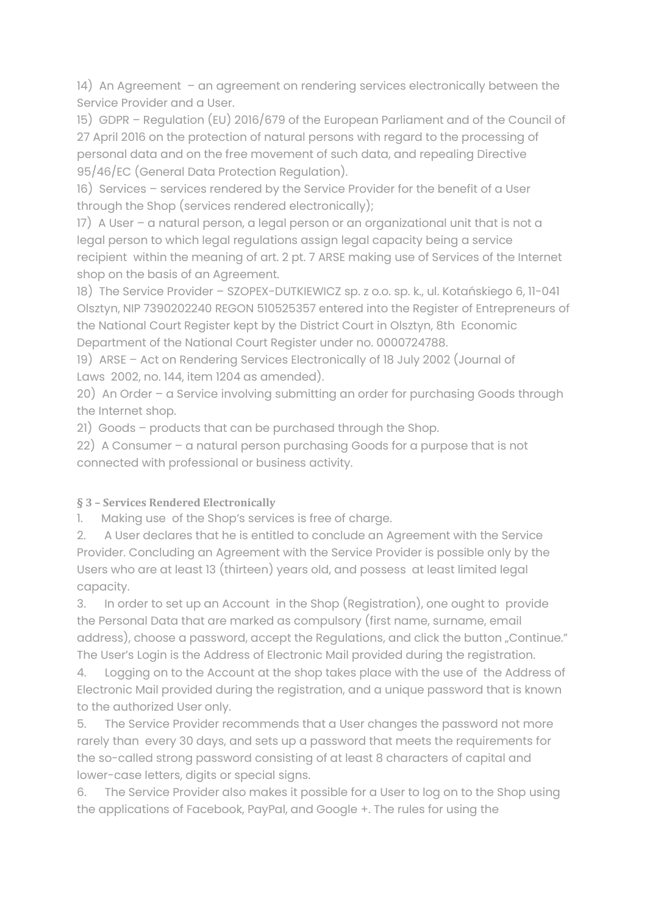14) An Agreement – an agreement on rendering services electronically between the Service Provider and a User.

15) GDPR – Regulation (EU) 2016/679 of the European Parliament and of the Council of 27 April 2016 on the protection of natural persons with regard to the processing of personal data and on the free movement of such data, and repealing Directive 95/46/EC (General Data Protection Regulation).

16) Services – services rendered by the Service Provider for the benefit of a User through the Shop (services rendered electronically);

17) A User – a natural person, a legal person or an organizational unit that is not a legal person to which legal regulations assign legal capacity being a service recipient within the meaning of art. 2 pt. 7 ARSE making use of Services of the Internet shop on the basis of an Agreement.

18) The Service Provider – SZOPEX-DUTKIEWICZ sp. z o.o. sp. k., ul. Kotańskiego 6, 11-041 Olsztyn, NIP 7390202240 REGON 510525357 entered into the Register of Entrepreneurs of the National Court Register kept by the District Court in Olsztyn, 8th Economic Department of the National Court Register under no. 0000724788.

19) ARSE – Act on Rendering Services Electronically of 18 July 2002 (Journal of Laws 2002, no. 144, item 1204 as amended).

20) An Order – a Service involving submitting an order for purchasing Goods through the Internet shop.

21) Goods – products that can be purchased through the Shop.

22) A Consumer – a natural person purchasing Goods for a purpose that is not connected with professional or business activity.

# **§ 3 – Services Rendered Electronically**

1. Making use of the Shop's services is free of charge.

2. A User declares that he is entitled to conclude an Agreement with the Service Provider. Concluding an Agreement with the Service Provider is possible only by the Users who are at least 13 (thirteen) years old, and possess at least limited legal capacity.

3. In order to set up an Account in the Shop (Registration), one ought to provide the Personal Data that are marked as compulsory (first name, surname, email address), choose a password, accept the Regulations, and click the button "Continue." The User's Login is the Address of Electronic Mail provided during the registration.

4. Logging on to the Account at the shop takes place with the use of the Address of Electronic Mail provided during the registration, and a unique password that is known to the authorized User only.

5. The Service Provider recommends that a User changes the password not more rarely than every 30 days, and sets up a password that meets the requirements for the so-called strong password consisting of at least 8 characters of capital and lower-case letters, digits or special signs.

6. The Service Provider also makes it possible for a User to log on to the Shop using the applications of Facebook, PayPal, and Google +. The rules for using the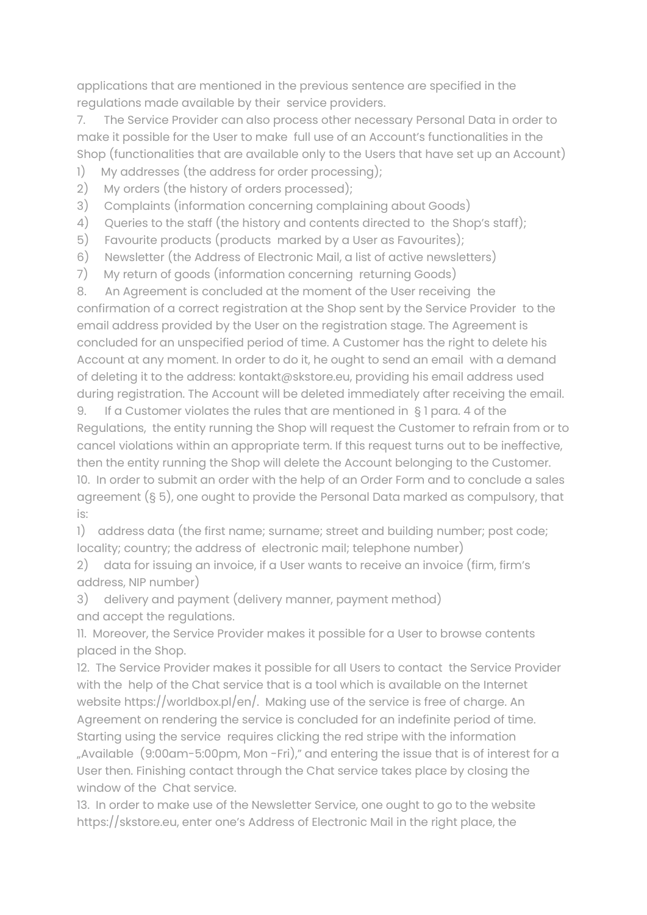applications that are mentioned in the previous sentence are specified in the regulations made available by their service providers.

7. The Service Provider can also process other necessary Personal Data in order to make it possible for the User to make full use of an Account's functionalities in the Shop (functionalities that are available only to the Users that have set up an Account)

- 1) My addresses (the address for order processing);
- 2) My orders (the history of orders processed);
- 3) Complaints (information concerning complaining about Goods)
- 4) Queries to the staff (the history and contents directed to the Shop's staff);
- 5) Favourite products (products marked by a User as Favourites);
- 6) Newsletter (the Address of Electronic Mail, a list of active newsletters)
- 7) My return of goods (information concerning returning Goods)

8. An Agreement is concluded at the moment of the User receiving the confirmation of a correct registration at the Shop sent by the Service Provider to the email address provided by the User on the registration stage. The Agreement is concluded for an unspecified period of time. A Customer has the right to delete his Account at any moment. In order to do it, he ought to send an email with a demand of deleting it to the address: kontakt@skstore.eu, providing his email address used during registration. The Account will be deleted immediately after receiving the email.

9. If a Customer violates the rules that are mentioned in § 1 para. 4 of the Regulations, the entity running the Shop will request the Customer to refrain from or to cancel violations within an appropriate term. If this request turns out to be ineffective, then the entity running the Shop will delete the Account belonging to the Customer. 10. In order to submit an order with the help of an Order Form and to conclude a sales agreement (§ 5), one ought to provide the Personal Data marked as compulsory, that is:

1) address data (the first name; surname; street and building number; post code; locality; country; the address of electronic mail; telephone number)

2) data for issuing an invoice, if a User wants to receive an invoice (firm, firm's address, NIP number)

3) delivery and payment (delivery manner, payment method) and accept the regulations.

11. Moreover, the Service Provider makes it possible for a User to browse contents placed in the Shop.

12. The Service Provider makes it possible for all Users to contact the Service Provider with the help of the Chat service that is a tool which is available on the Internet website https://worldbox.pl/en/. Making use of the service is free of charge. An Agreement on rendering the service is concluded for an indefinite period of time. Starting using the service requires clicking the red stripe with the information "Available (9:00am-5:00pm, Mon -Fri)," and entering the issue that is of interest for a User then. Finishing contact through the Chat service takes place by closing the window of the Chat service.

13. In order to make use of the Newsletter Service, one ought to go to the website https://skstore.eu, enter one's Address of Electronic Mail in the right place, the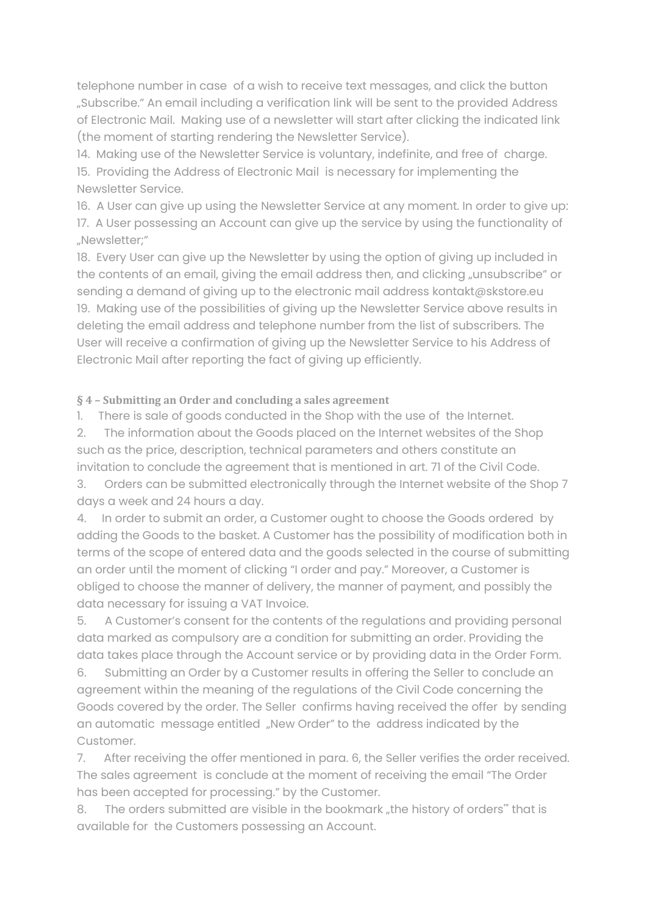telephone number in case of a wish to receive text messages, and click the button "Subscribe." An email including a verification link will be sent to the provided Address of Electronic Mail. Making use of a newsletter will start after clicking the indicated link (the moment of starting rendering the Newsletter Service).

14. Making use of the Newsletter Service is voluntary, indefinite, and free of charge. 15. Providing the Address of Electronic Mail is necessary for implementing the Newsletter Service.

16. A User can give up using the Newsletter Service at any moment. In order to give up: 17. A User possessing an Account can give up the service by using the functionality of "Newsletter;"

18. Every User can give up the Newsletter by using the option of giving up included in the contents of an email, giving the email address then, and clicking "unsubscribe" or sending a demand of giving up to the electronic mail address kontakt@skstore.eu 19. Making use of the possibilities of giving up the Newsletter Service above results in deleting the email address and telephone number from the list of subscribers. The User will receive a confirmation of giving up the Newsletter Service to his Address of Electronic Mail after reporting the fact of giving up efficiently.

**§ 4 – Submitting an Order and concluding a sales agreement**

1. There is sale of goods conducted in the Shop with the use of the Internet.

2. The information about the Goods placed on the Internet websites of the Shop such as the price, description, technical parameters and others constitute an invitation to conclude the agreement that is mentioned in art. 71 of the Civil Code.

3. Orders can be submitted electronically through the Internet website of the Shop 7 days a week and 24 hours a day.

4. In order to submit an order, a Customer ought to choose the Goods ordered by adding the Goods to the basket. A Customer has the possibility of modification both in terms of the scope of entered data and the goods selected in the course of submitting an order until the moment of clicking "I order and pay." Moreover, a Customer is obliged to choose the manner of delivery, the manner of payment, and possibly the data necessary for issuing a VAT Invoice.

5. A Customer's consent for the contents of the regulations and providing personal data marked as compulsory are a condition for submitting an order. Providing the data takes place through the Account service or by providing data in the Order Form.

6. Submitting an Order by a Customer results in offering the Seller to conclude an agreement within the meaning of the regulations of the Civil Code concerning the Goods covered by the order. The Seller confirms having received the offer by sending an automatic message entitled "New Order" to the address indicated by the Customer.

7. After receiving the offer mentioned in para. 6, the Seller verifies the order received. The sales agreement is conclude at the moment of receiving the email "The Order has been accepted for processing." by the Customer.

8. The orders submitted are visible in the bookmark "the history of orders" that is available for the Customers possessing an Account.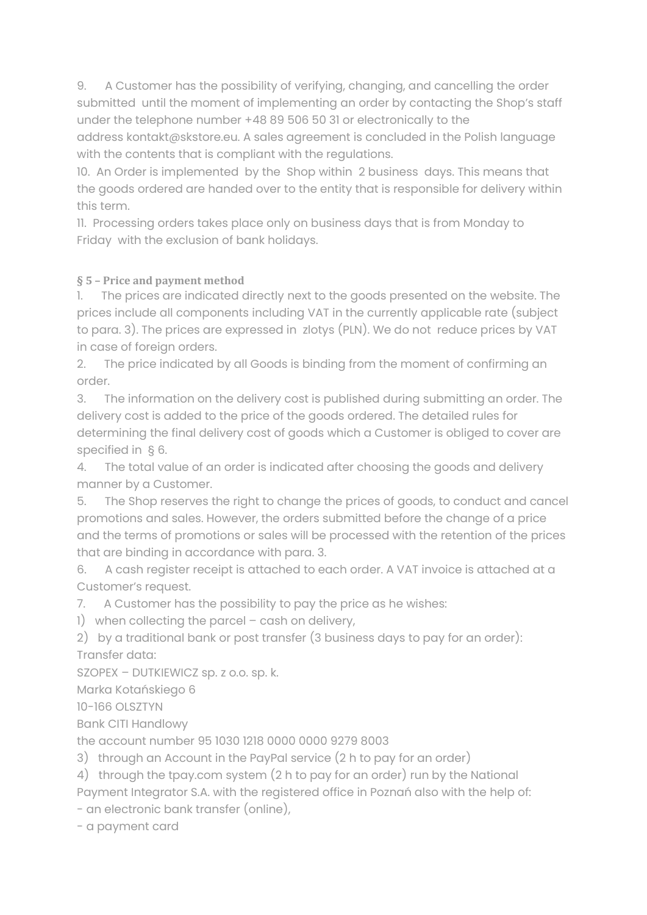9. A Customer has the possibility of verifying, changing, and cancelling the order submitted until the moment of implementing an order by contacting the Shop's staff under the telephone number +48 89 506 50 31 or electronically to the address kontakt@skstore.eu. A sales agreement is concluded in the Polish language with the contents that is compliant with the regulations.

10. An Order is implemented by the Shop within 2 business days. This means that the goods ordered are handed over to the entity that is responsible for delivery within this term.

11. Processing orders takes place only on business days that is from Monday to Friday with the exclusion of bank holidays.

# **§ 5 – Price and payment method**

1. The prices are indicated directly next to the goods presented on the website. The prices include all components including VAT in the currently applicable rate (subject to para. 3). The prices are expressed in zlotys (PLN). We do not reduce prices by VAT in case of foreign orders.

2. The price indicated by all Goods is binding from the moment of confirming an order.

3. The information on the delivery cost is published during submitting an order. The delivery cost is added to the price of the goods ordered. The detailed rules for determining the final delivery cost of goods which a Customer is obliged to cover are specified in § 6.

4. The total value of an order is indicated after choosing the goods and delivery manner by a Customer.

5. The Shop reserves the right to change the prices of goods, to conduct and cancel promotions and sales. However, the orders submitted before the change of a price and the terms of promotions or sales will be processed with the retention of the prices that are binding in accordance with para. 3.

6. A cash register receipt is attached to each order. A VAT invoice is attached at a Customer's request.

7. A Customer has the possibility to pay the price as he wishes:

1) when collecting the parcel – cash on delivery,

2) by a traditional bank or post transfer (3 business days to pay for an order): Transfer data:

SZOPEX – DUTKIEWICZ sp. z o.o. sp. k.

Marka Kotańskiego 6

10-166 OLSZTYN

Bank CITI Handlowy

the account number 95 1030 1218 0000 0000 9279 8003

3) through an Account in the PayPal service (2 h to pay for an order)

4) through the tpay.com system (2 h to pay for an order) run by the National Payment Integrator S.A. with the registered office in Poznań also with the help of:

- an electronic bank transfer (online),

- a payment card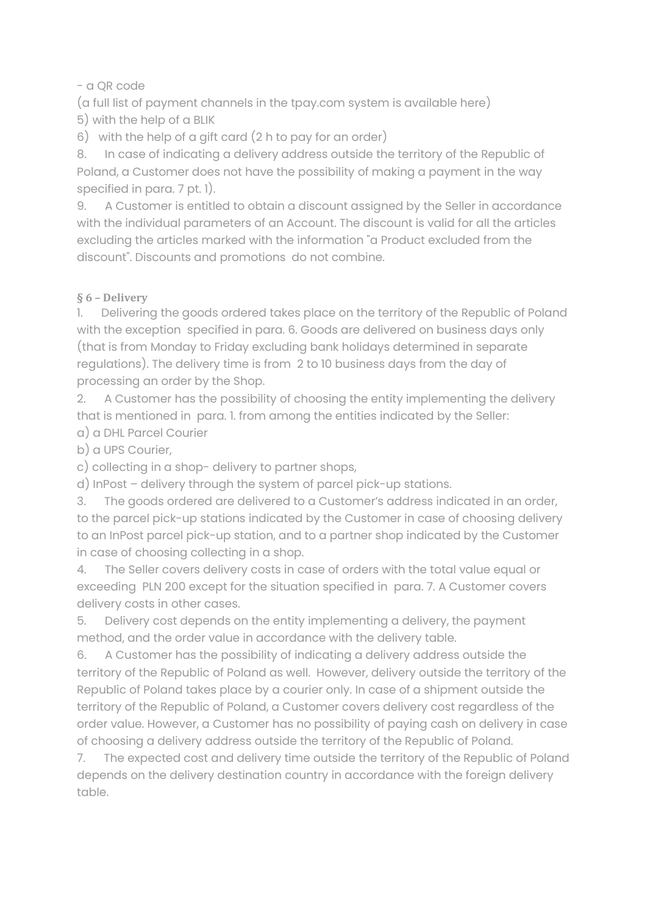#### - a QR code

(a full list of payment channels in the tpay.com system is available here) 5) with the help of a BLIK

6) with the help of a gift card (2 h to pay for an order)

8. In case of indicating a delivery address outside the territory of the Republic of Poland, a Customer does not have the possibility of making a payment in the way specified in para. 7 pt. 1).

9. A Customer is entitled to obtain a discount assigned by the Seller in accordance with the individual parameters of an Account. The discount is valid for all the articles excluding the articles marked with the information "a Product excluded from the discount". Discounts and promotions do not combine.

### **§ 6 – Delivery**

1. Delivering the goods ordered takes place on the territory of the Republic of Poland with the exception specified in para. 6. Goods are delivered on business days only (that is from Monday to Friday excluding bank holidays determined in separate regulations). The delivery time is from 2 to 10 business days from the day of processing an order by the Shop.

2. A Customer has the possibility of choosing the entity implementing the delivery that is mentioned in para. 1. from among the entities indicated by the Seller:

a) a DHL Parcel Courier

b) a UPS Courier,

c) collecting in a shop- delivery to partner shops,

d) InPost – delivery through the system of parcel pick-up stations.

3. The goods ordered are delivered to a Customer's address indicated in an order, to the parcel pick-up stations indicated by the Customer in case of choosing delivery to an InPost parcel pick-up station, and to a partner shop indicated by the Customer in case of choosing collecting in a shop.

4. The Seller covers delivery costs in case of orders with the total value equal or exceeding PLN 200 except for the situation specified in para. 7. A Customer covers delivery costs in other cases.

5. Delivery cost depends on the entity implementing a delivery, the payment method, and the order value in accordance with the delivery table.

6. A Customer has the possibility of indicating a delivery address outside the territory of the Republic of Poland as well. However, delivery outside the territory of the Republic of Poland takes place by a courier only. In case of a shipment outside the territory of the Republic of Poland, a Customer covers delivery cost regardless of the order value. However, a Customer has no possibility of paying cash on delivery in case of choosing a delivery address outside the territory of the Republic of Poland.

7. The expected cost and delivery time outside the territory of the Republic of Poland depends on the delivery destination country in accordance with the foreign delivery table.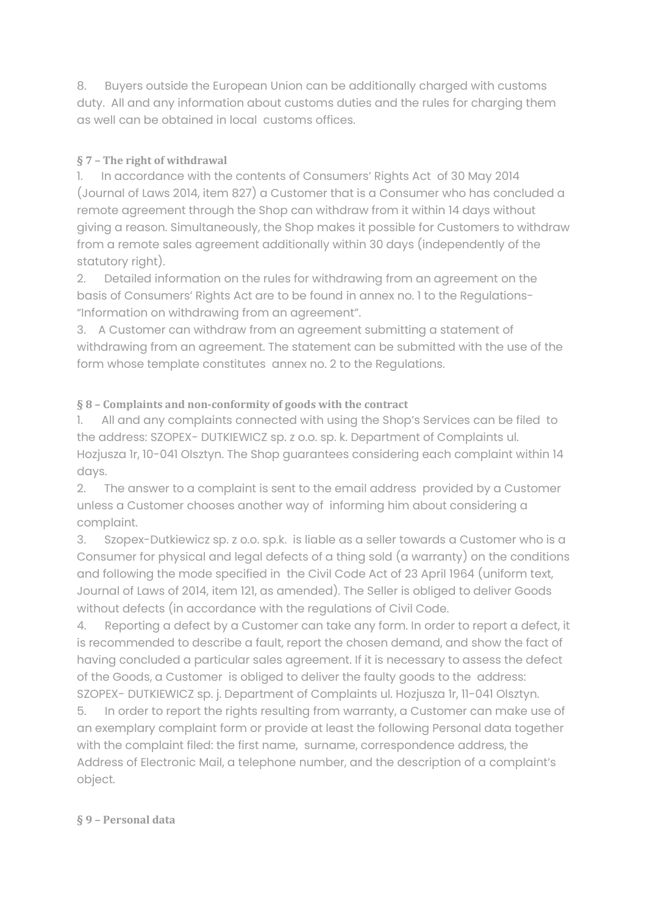8. Buyers outside the European Union can be additionally charged with customs duty. All and any information about customs duties and the rules for charging them as well can be obtained in local customs offices.

# **§ 7 – The right of withdrawal**

1. In accordance with the contents of Consumers' Rights Act of 30 May 2014 (Journal of Laws 2014, item 827) a Customer that is a Consumer who has concluded a remote agreement through the Shop can withdraw from it within 14 days without giving a reason. Simultaneously, the Shop makes it possible for Customers to withdraw from a remote sales agreement additionally within 30 days (independently of the statutory right).

2. Detailed information on the rules for withdrawing from an agreement on the basis of Consumers' Rights Act are to be found in annex no. 1 to the Regulations- "Information on withdrawing from an agreement".

3. A Customer can withdraw from an agreement submitting a statement of withdrawing from an agreement. The statement can be submitted with the use of the form whose template constitutes annex no. 2 to the Regulations.

# **§ 8 – Complaints and non-conformity of goods with the contract**

1. All and any complaints connected with using the Shop's Services can be filed to the address: SZOPEX- DUTKIEWICZ sp. z o.o. sp. k. Department of Complaints ul. Hozjusza 1r, 10-041 Olsztyn. The Shop guarantees considering each complaint within 14 days.

2. The answer to a complaint is sent to the email address provided by a Customer unless a Customer chooses another way of informing him about considering a complaint.

3. Szopex-Dutkiewicz sp. z o.o. sp.k. is liable as a seller towards a Customer who is a Consumer for physical and legal defects of a thing sold (a warranty) on the conditions and following the mode specified in the Civil Code Act of 23 April 1964 (uniform text, Journal of Laws of 2014, item 121, as amended). The Seller is obliged to deliver Goods without defects (in accordance with the regulations of Civil Code.

4. Reporting a defect by a Customer can take any form. In order to report a defect, it is recommended to describe a fault, report the chosen demand, and show the fact of having concluded a particular sales agreement. If it is necessary to assess the defect of the Goods, a Customer is obliged to deliver the faulty goods to the address: SZOPEX- DUTKIEWICZ sp. j. Department of Complaints ul. Hozjusza 1r, 11-041 Olsztyn.

5. In order to report the rights resulting from warranty, a Customer can make use of an exemplary complaint form or provide at least the following Personal data together with the complaint filed: the first name, surname, correspondence address, the Address of Electronic Mail, a telephone number, and the description of a complaint's object.

# **§ 9 – Personal data**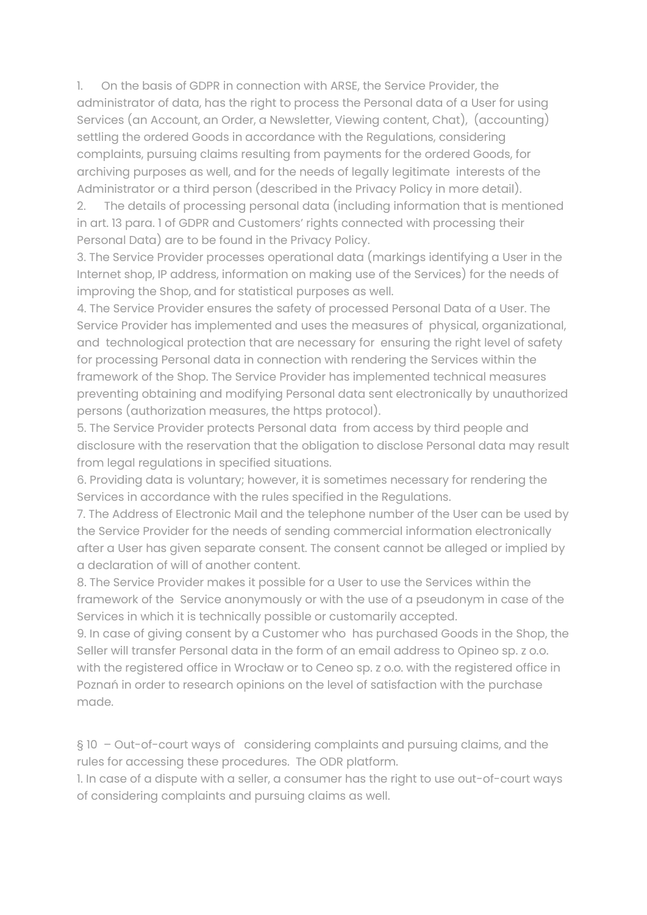1. On the basis of GDPR in connection with ARSE, the Service Provider, the administrator of data, has the right to process the Personal data of a User for using Services (an Account, an Order, a Newsletter, Viewing content, Chat), (accounting) settling the ordered Goods in accordance with the Regulations, considering complaints, pursuing claims resulting from payments for the ordered Goods, for archiving purposes as well, and for the needs of legally legitimate interests of the Administrator or a third person (described in the Privacy Policy in more detail).

2. The details of processing personal data (including information that is mentioned in art. 13 para. 1 of GDPR and Customers' rights connected with processing their Personal Data) are to be found in the Privacy Policy.

3. The Service Provider processes operational data (markings identifying a User in the Internet shop, IP address, information on making use of the Services) for the needs of improving the Shop, and for statistical purposes as well.

4. The Service Provider ensures the safety of processed Personal Data of a User. The Service Provider has implemented and uses the measures of physical, organizational, and technological protection that are necessary for ensuring the right level of safety for processing Personal data in connection with rendering the Services within the framework of the Shop. The Service Provider has implemented technical measures preventing obtaining and modifying Personal data sent electronically by unauthorized persons (authorization measures, the https protocol).

5. The Service Provider protects Personal data from access by third people and disclosure with the reservation that the obligation to disclose Personal data may result from legal regulations in specified situations.

6. Providing data is voluntary; however, it is sometimes necessary for rendering the Services in accordance with the rules specified in the Regulations.

7. The Address of Electronic Mail and the telephone number of the User can be used by the Service Provider for the needs of sending commercial information electronically after a User has given separate consent. The consent cannot be alleged or implied by a declaration of will of another content.

8. The Service Provider makes it possible for a User to use the Services within the framework of the Service anonymously or with the use of a pseudonym in case of the Services in which it is technically possible or customarily accepted.

9. In case of giving consent by a Customer who has purchased Goods in the Shop, the Seller will transfer Personal data in the form of an email address to Opineo sp. z o.o. with the registered office in Wrocław or to Ceneo sp. z o.o. with the registered office in Poznań in order to research opinions on the level of satisfaction with the purchase made.

§ 10 – Out-of-court ways of considering complaints and pursuing claims, and the rules for accessing these procedures. The ODR platform.

1. In case of a dispute with a seller, a consumer has the right to use out-of-court ways of considering complaints and pursuing claims as well.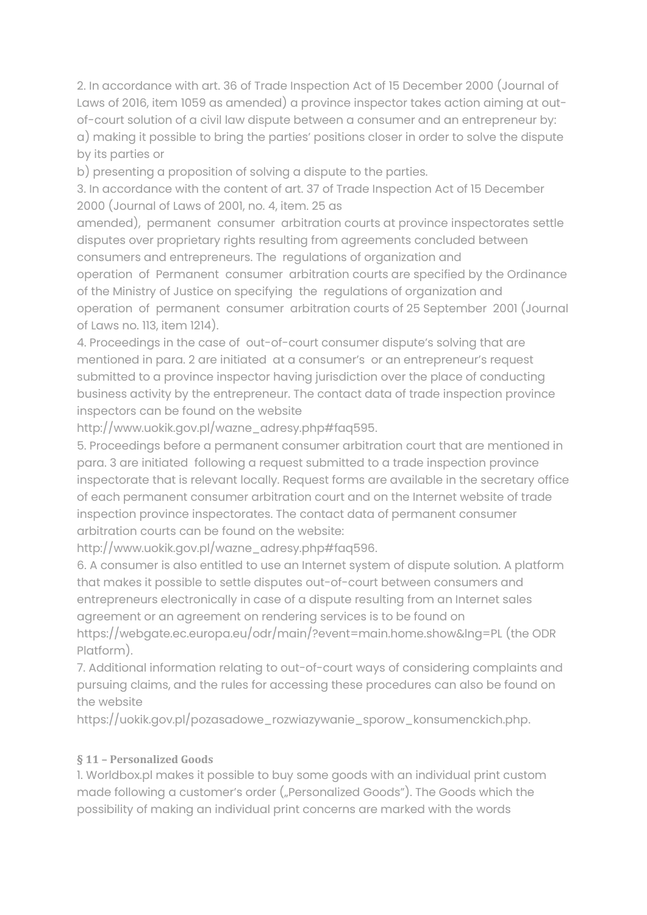2. In accordance with art. 36 of Trade Inspection Act of 15 December 2000 (Journal of Laws of 2016, item 1059 as amended) a province inspector takes action aiming at outof-court solution of a civil law dispute between a consumer and an entrepreneur by: a) making it possible to bring the parties' positions closer in order to solve the dispute by its parties or

b) presenting a proposition of solving a dispute to the parties.

3. In accordance with the content of art. 37 of Trade Inspection Act of 15 December 2000 (Journal of Laws of 2001, no. 4, item. 25 as

amended), permanent consumer arbitration courts at province inspectorates settle disputes over proprietary rights resulting from agreements concluded between consumers and entrepreneurs. The regulations of organization and

operation of Permanent consumer arbitration courts are specified by the Ordinance of the Ministry of Justice on specifying the regulations of organization and operation of permanent consumer arbitration courts of 25 September 2001 (Journal of Laws no. 113, item 1214).

4. Proceedings in the case of out-of-court consumer dispute's solving that are mentioned in para. 2 are initiated at a consumer's or an entrepreneur's request submitted to a province inspector having jurisdiction over the place of conducting business activity by the entrepreneur. The contact data of trade inspection province inspectors can be found on the website

http://www.uokik.gov.pl/wazne\_adresy.php#faq595.

5. Proceedings before a permanent consumer arbitration court that are mentioned in para. 3 are initiated following a request submitted to a trade inspection province inspectorate that is relevant locally. Request forms are available in the secretary office of each permanent consumer arbitration court and on the Internet website of trade inspection province inspectorates. The contact data of permanent consumer arbitration courts can be found on the website:

http://www.uokik.gov.pl/wazne\_adresy.php#faq596.

6. A consumer is also entitled to use an Internet system of dispute solution. A platform that makes it possible to settle disputes out-of-court between consumers and entrepreneurs electronically in case of a dispute resulting from an Internet sales agreement or an agreement on rendering services is to be found on

https://webgate.ec.europa.eu/odr/main/?event=main.home.show&lng=PL (the ODR Platform).

7. Additional information relating to out-of-court ways of considering complaints and pursuing claims, and the rules for accessing these procedures can also be found on the website

https://uokik.gov.pl/pozasadowe\_rozwiazywanie\_sporow\_konsumenckich.php.

#### **§ 11 – Personalized Goods**

1. Worldbox.pl makes it possible to buy some goods with an individual print custom made following a customer's order ("Personalized Goods"). The Goods which the possibility of making an individual print concerns are marked with the words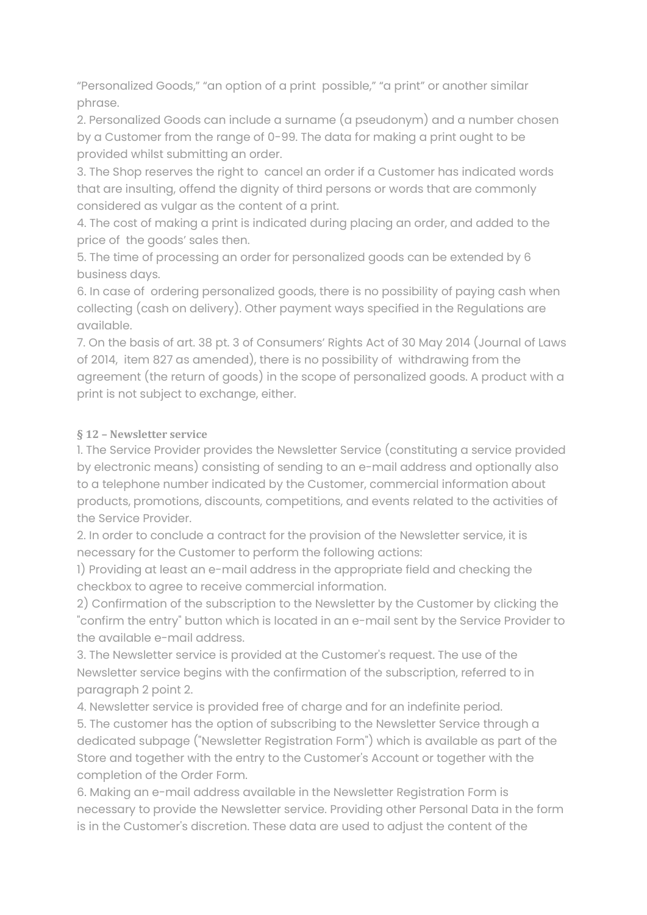"Personalized Goods," "an option of a print possible," "a print" or another similar phrase.

2. Personalized Goods can include a surname (a pseudonym) and a number chosen by a Customer from the range of 0-99. The data for making a print ought to be provided whilst submitting an order.

3. The Shop reserves the right to cancel an order if a Customer has indicated words that are insulting, offend the dignity of third persons or words that are commonly considered as vulgar as the content of a print.

4. The cost of making a print is indicated during placing an order, and added to the price of the goods' sales then.

5. The time of processing an order for personalized goods can be extended by 6 business days.

6. In case of ordering personalized goods, there is no possibility of paying cash when collecting (cash on delivery). Other payment ways specified in the Regulations are available.

7. On the basis of art. 38 pt. 3 of Consumers' Rights Act of 30 May 2014 (Journal of Laws of 2014, item 827 as amended), there is no possibility of withdrawing from the agreement (the return of goods) in the scope of personalized goods. A product with a print is not subject to exchange, either.

# **§ 12 – Newsletter service**

1. The Service Provider provides the Newsletter Service (constituting a service provided by electronic means) consisting of sending to an e-mail address and optionally also to a telephone number indicated by the Customer, commercial information about products, promotions, discounts, competitions, and events related to the activities of the Service Provider.

2. In order to conclude a contract for the provision of the Newsletter service, it is necessary for the Customer to perform the following actions:

1) Providing at least an e-mail address in the appropriate field and checking the checkbox to agree to receive commercial information.

2) Confirmation of the subscription to the Newsletter by the Customer by clicking the "confirm the entry" button which is located in an e-mail sent by the Service Provider to the available e-mail address.

3. The Newsletter service is provided at the Customer's request. The use of the Newsletter service begins with the confirmation of the subscription, referred to in paragraph 2 point 2.

4. Newsletter service is provided free of charge and for an indefinite period.

5. The customer has the option of subscribing to the Newsletter Service through a dedicated subpage ("Newsletter Registration Form") which is available as part of the Store and together with the entry to the Customer's Account or together with the completion of the Order Form.

6. Making an e-mail address available in the Newsletter Registration Form is necessary to provide the Newsletter service. Providing other Personal Data in the form is in the Customer's discretion. These data are used to adjust the content of the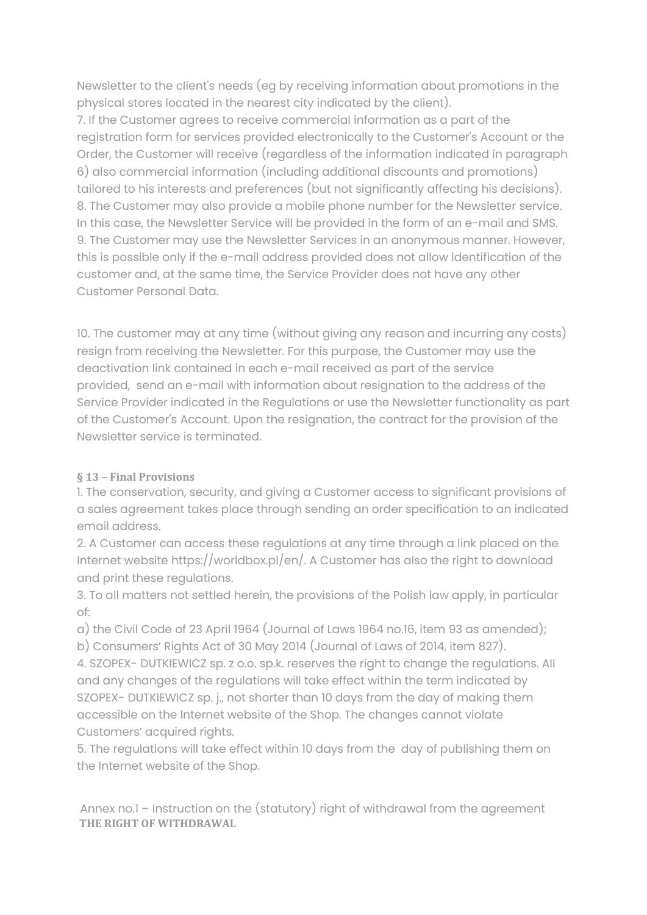Newsletter to the client's needs (eg by receiving information about promotions in the physical stores located in the nearest city indicated by the client).

7. If the Customer agrees to receive commercial information as a part of the registration form for services provided electronically to the Customer's Account or the Order, the Customer will receive (regardless of the information indicated in paragraph 6) also commercial information (including additional discounts and promotions) tailored to his interests and preferences (but not significantly affecting his decisions). 8. The Customer may also provide a mobile phone number for the Newsletter service. In this case, the Newsletter Service will be provided in the form of an e-mail and SMS. 9. The Customer may use the Newsletter Services in an anonymous manner. However, this is possible only if the e-mail address provided does not allow identification of the customer and, at the same time, the Service Provider does not have any other Customer Personal Data.

10. The customer may at any time (without giving any reason and incurring any costs) resign from receiving the Newsletter. For this purpose, the Customer may use the deactivation link contained in each e-mail received as part of the service provided, send an e-mail with information about resignation to the address of the Service Provider indicated in the Regulations or use the Newsletter functionality as part of the Customer's Account. Upon the resignation, the contract for the provision of the Newsletter service is terminated.

# **§ 13 – Final Provisions**

1. The conservation, security, and giving a Customer access to significant provisions of a sales agreement takes place through sending an order specification to an indicated email address.

2. A Customer can access these regulations at any time through a link placed on the Internet website https://worldbox.pl/en/. A Customer has also the right to download and print these regulations.

3. To all matters not settled herein, the provisions of the Polish law apply, in particular of:

a) the Civil Code of 23 April 1964 (Journal of Laws 1964 no.16, item 93 as amended); b) Consumers' Rights Act of 30 May 2014 (Journal of Laws of 2014, item 827).

4. SZOPEX- DUTKIEWICZ sp. z o.o. sp.k. reserves the right to change the regulations. All and any changes of the regulations will take effect within the term indicated by SZOPEX- DUTKIEWICZ sp. j., not shorter than 10 days from the day of making them accessible on the Internet website of the Shop. The changes cannot violate Customers' acquired rights.

5. The regulations will take effect within 10 days from the day of publishing them on the Internet website of the Shop.

Annex no.1 – Instruction on the (statutory) right of withdrawal from the agreement **THE RIGHT OF WITHDRAWAL**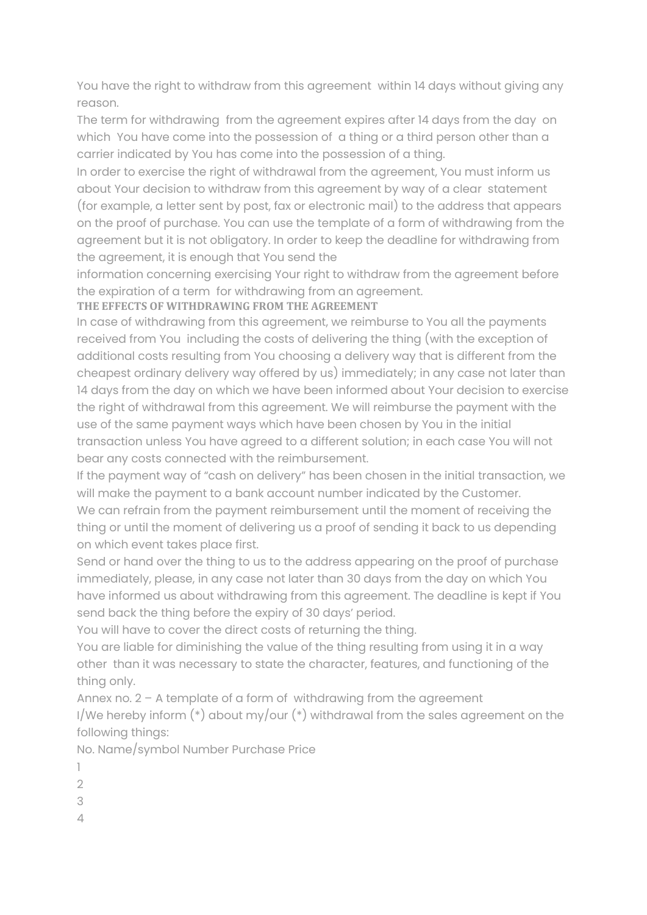You have the right to withdraw from this agreement within 14 days without giving any reason.

The term for withdrawing from the agreement expires after 14 days from the day on which You have come into the possession of a thing or a third person other than a carrier indicated by You has come into the possession of a thing.

In order to exercise the right of withdrawal from the agreement, You must inform us about Your decision to withdraw from this agreement by way of a clear statement (for example, a letter sent by post, fax or electronic mail) to the address that appears on the proof of purchase. You can use the template of a form of withdrawing from the agreement but it is not obligatory. In order to keep the deadline for withdrawing from the agreement, it is enough that You send the

information concerning exercising Your right to withdraw from the agreement before the expiration of a term for withdrawing from an agreement.

**THE EFFECTS OF WITHDRAWING FROM THE AGREEMENT**

In case of withdrawing from this agreement, we reimburse to You all the payments received from You including the costs of delivering the thing (with the exception of additional costs resulting from You choosing a delivery way that is different from the cheapest ordinary delivery way offered by us) immediately; in any case not later than 14 days from the day on which we have been informed about Your decision to exercise the right of withdrawal from this agreement. We will reimburse the payment with the use of the same payment ways which have been chosen by You in the initial transaction unless You have agreed to a different solution; in each case You will not bear any costs connected with the reimbursement.

If the payment way of "cash on delivery" has been chosen in the initial transaction, we will make the payment to a bank account number indicated by the Customer. We can refrain from the payment reimbursement until the moment of receiving the thing or until the moment of delivering us a proof of sending it back to us depending on which event takes place first.

Send or hand over the thing to us to the address appearing on the proof of purchase immediately, please, in any case not later than 30 days from the day on which You have informed us about withdrawing from this agreement. The deadline is kept if You send back the thing before the expiry of 30 days' period.

You will have to cover the direct costs of returning the thing.

You are liable for diminishing the value of the thing resulting from using it in a way other than it was necessary to state the character, features, and functioning of the thing only.

Annex no. 2 - A template of a form of withdrawing from the agreement I/We hereby inform  $(*)$  about my/our  $(*)$  withdrawal from the sales agreement on the following things:

No. Name/symbol Number Purchase Price

- 1
- $\overline{2}$
- 3
- $\Delta$